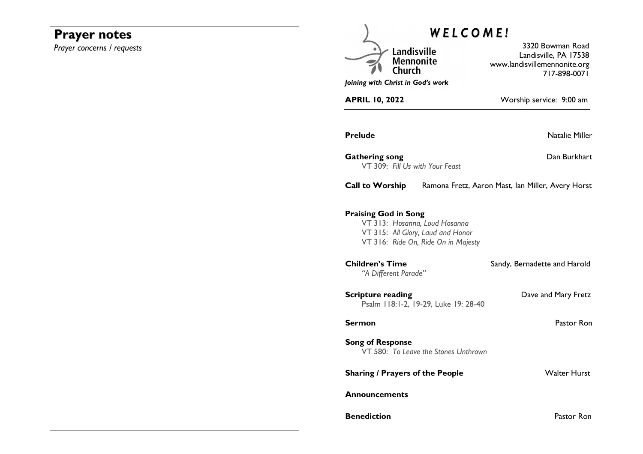# **Prayer notes**

*Prayer concerns / requests* 

| <b>WELCOME!</b>                                                             |                                                                                                           |                                                                                           |
|-----------------------------------------------------------------------------|-----------------------------------------------------------------------------------------------------------|-------------------------------------------------------------------------------------------|
|                                                                             | Landisville<br><b>Mennonite</b><br>Church                                                                 | 3320 Bowman Road<br>Landisville, PA 17538<br>www.landisvillemennonite.org<br>717-898-0071 |
| Joining with Christ in God's work                                           |                                                                                                           |                                                                                           |
| <b>APRIL 10, 2022</b>                                                       |                                                                                                           | Worship service: 9:00 am                                                                  |
| <b>Prelude</b>                                                              |                                                                                                           | <b>Natalie Miller</b>                                                                     |
| <b>Gathering song</b>                                                       | VT 309: Fill Us with Your Feast                                                                           | Dan Burkhart                                                                              |
| <b>Call to Worship</b><br>Ramona Fretz, Aaron Mast, Ian Miller, Avery Horst |                                                                                                           |                                                                                           |
| <b>Praising God in Song</b>                                                 | VT 313: Hosanna, Loud Hosanna<br>VT 315: All Glory, Laud and Honor<br>VT 316: Ride On, Ride On in Majesty |                                                                                           |
| <b>Children's Time</b>                                                      | "A Different Parade"                                                                                      | Sandy, Bernadette and Harold                                                              |
| <b>Scripture reading</b>                                                    | Psalm 118:1-2, 19-29, Luke 19: 28-40                                                                      | Dave and Mary Fretz                                                                       |
| Sermon                                                                      |                                                                                                           | Pastor Ron                                                                                |
| <b>Song of Response</b>                                                     | VT 580: To Leave the Stones Unthrown                                                                      |                                                                                           |
| <b>Sharing / Prayers of the People</b>                                      |                                                                                                           | <b>Walter Hurst</b>                                                                       |
| <b>Announcements</b>                                                        |                                                                                                           |                                                                                           |
| <b>Benediction</b>                                                          |                                                                                                           | Pastor Ron                                                                                |